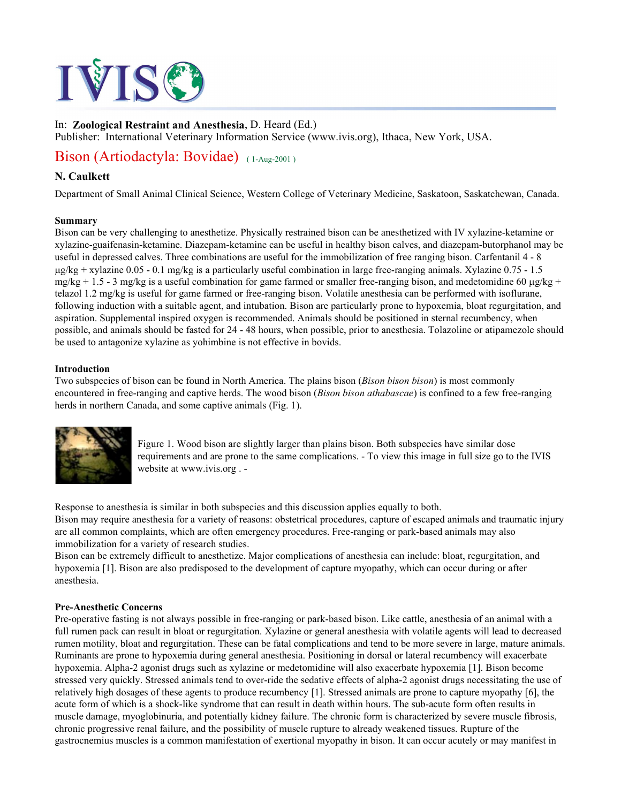# TVISC

## In: **Zoological Restraint and Anesthesia**, D. Heard (Ed.)

Publisher: International Veterinary Information Service (www.ivis.org), Ithaca, New York, USA.

# Bison (Artiodactyla: Bovidae) (1-Aug-2001)

### **N. Caulkett**

Department of Small Animal Clinical Science, Western College of Veterinary Medicine, Saskatoon, Saskatchewan, Canada.

#### **Summary**

Bison can be very challenging to anesthetize. Physically restrained bison can be anesthetized with IV xylazine-ketamine or xylazine-guaifenasin-ketamine. Diazepam-ketamine can be useful in healthy bison calves, and diazepam-butorphanol may be useful in depressed calves. Three combinations are useful for the immobilization of free ranging bison. Carfentanil 4 - 8 µg/kg + xylazine 0.05 - 0.1 mg/kg is a particularly useful combination in large free-ranging animals. Xylazine 0.75 - 1.5  $mg/kg + 1.5 - 3$  mg/kg is a useful combination for game farmed or smaller free-ranging bison, and medetomidine 60  $\mu$ g/kg + telazol 1.2 mg/kg is useful for game farmed or free-ranging bison. Volatile anesthesia can be performed with isoflurane, following induction with a suitable agent, and intubation. Bison are particularly prone to hypoxemia, bloat regurgitation, and aspiration. Supplemental inspired oxygen is recommended. Animals should be positioned in sternal recumbency, when possible, and animals should be fasted for 24 - 48 hours, when possible, prior to anesthesia. Tolazoline or atipamezole should be used to antagonize xylazine as yohimbine is not effective in bovids.

#### **Introduction**

Two subspecies of bison can be found in North America. The plains bison (*Bison bison bison*) is most commonly encountered in free-ranging and captive herds. The wood bison (*Bison bison athabascae*) is confined to a few free-ranging herds in northern Canada, and some captive animals (Fig. 1).



Figure 1. Wood bison are slightly larger than plains bison. Both subspecies have similar dose requirements and are prone to the same complications. - To view this image in full size go to the IVIS website at www.ivis.org . -

Response to anesthesia is similar in both subspecies and this discussion applies equally to both. Bison may require anesthesia for a variety of reasons: obstetrical procedures, capture of escaped animals and traumatic injury are all common complaints, which are often emergency procedures. Free-ranging or park-based animals may also immobilization for a variety of research studies.

Bison can be extremely difficult to anesthetize. Major complications of anesthesia can include: bloat, regurgitation, and hypoxemia [1]. Bison are also predisposed to the development of capture myopathy, which can occur during or after anesthesia.

#### **Pre-Anesthetic Concerns**

Pre-operative fasting is not always possible in free-ranging or park-based bison. Like cattle, anesthesia of an animal with a full rumen pack can result in bloat or regurgitation. Xylazine or general anesthesia with volatile agents will lead to decreased rumen motility, bloat and regurgitation. These can be fatal complications and tend to be more severe in large, mature animals. Ruminants are prone to hypoxemia during general anesthesia. Positioning in dorsal or lateral recumbency will exacerbate hypoxemia. Alpha-2 agonist drugs such as xylazine or medetomidine will also exacerbate hypoxemia [1]. Bison become stressed very quickly. Stressed animals tend to over-ride the sedative effects of alpha-2 agonist drugs necessitating the use of relatively high dosages of these agents to produce recumbency [1]. Stressed animals are prone to capture myopathy [6], the acute form of which is a shock-like syndrome that can result in death within hours. The sub-acute form often results in muscle damage, myoglobinuria, and potentially kidney failure. The chronic form is characterized by severe muscle fibrosis, chronic progressive renal failure, and the possibility of muscle rupture to already weakened tissues. Rupture of the gastrocnemius muscles is a common manifestation of exertional myopathy in bison. It can occur acutely or may manifest in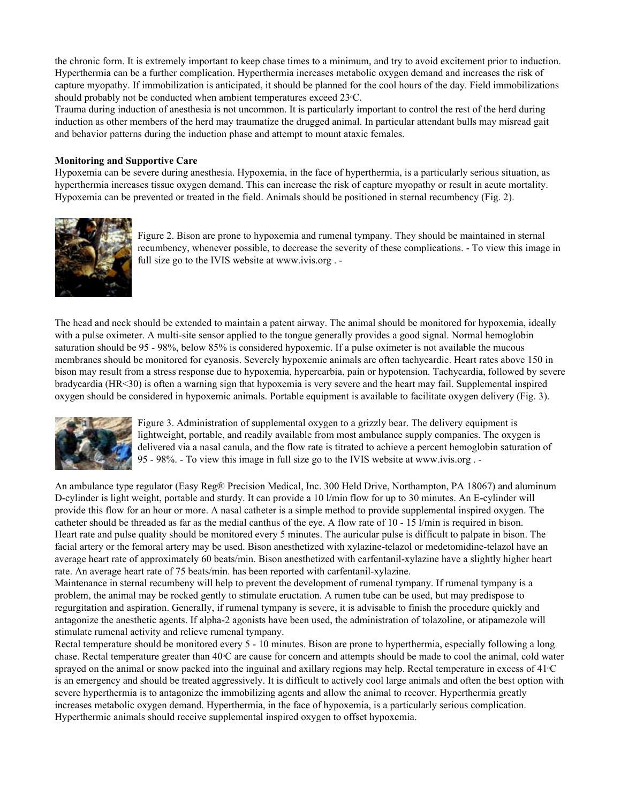the chronic form. It is extremely important to keep chase times to a minimum, and try to avoid excitement prior to induction. Hyperthermia can be a further complication. Hyperthermia increases metabolic oxygen demand and increases the risk of capture myopathy. If immobilization is anticipated, it should be planned for the cool hours of the day. Field immobilizations should probably not be conducted when ambient temperatures exceed 23 °C.

Trauma during induction of anesthesia is not uncommon. It is particularly important to control the rest of the herd during induction as other members of the herd may traumatize the drugged animal. In particular attendant bulls may misread gait and behavior patterns during the induction phase and attempt to mount ataxic females.

#### **Monitoring and Supportive Care**

Hypoxemia can be severe during anesthesia. Hypoxemia, in the face of hyperthermia, is a particularly serious situation, as hyperthermia increases tissue oxygen demand. This can increase the risk of capture myopathy or result in acute mortality. Hypoxemia can be prevented or treated in the field. Animals should be positioned in sternal recumbency (Fig. 2).



Figure 2. Bison are prone to hypoxemia and rumenal tympany. They should be maintained in sternal recumbency, whenever possible, to decrease the severity of these complications. - To view this image in full size go to the IVIS website at www.ivis.org . -

The head and neck should be extended to maintain a patent airway. The animal should be monitored for hypoxemia, ideally with a pulse oximeter. A multi-site sensor applied to the tongue generally provides a good signal. Normal hemoglobin saturation should be 95 - 98%, below 85% is considered hypoxemic. If a pulse oximeter is not available the mucous membranes should be monitored for cyanosis. Severely hypoxemic animals are often tachycardic. Heart rates above 150 in bison may result from a stress response due to hypoxemia, hypercarbia, pain or hypotension. Tachycardia, followed by severe bradycardia (HR<30) is often a warning sign that hypoxemia is very severe and the heart may fail. Supplemental inspired oxygen should be considered in hypoxemic animals. Portable equipment is available to facilitate oxygen delivery (Fig. 3).



Figure 3. Administration of supplemental oxygen to a grizzly bear. The delivery equipment is lightweight, portable, and readily available from most ambulance supply companies. The oxygen is delivered via a nasal canula, and the flow rate is titrated to achieve a percent hemoglobin saturation of 95 - 98%. - To view this image in full size go to the IVIS website at www.ivis.org . -

An ambulance type regulator (Easy Reg® Precision Medical, Inc. 300 Held Drive, Northampton, PA 18067) and aluminum D-cylinder is light weight, portable and sturdy. It can provide a 10 l/min flow for up to 30 minutes. An E-cylinder will provide this flow for an hour or more. A nasal catheter is a simple method to provide supplemental inspired oxygen. The catheter should be threaded as far as the medial canthus of the eye. A flow rate of 10 - 15 l/min is required in bison. Heart rate and pulse quality should be monitored every 5 minutes. The auricular pulse is difficult to palpate in bison. The facial artery or the femoral artery may be used. Bison anesthetized with xylazine-telazol or medetomidine-telazol have an average heart rate of approximately 60 beats/min. Bison anesthetized with carfentanil-xylazine have a slightly higher heart rate. An average heart rate of 75 beats/min. has been reported with carfentanil-xylazine.

Maintenance in sternal recumbeny will help to prevent the development of rumenal tympany. If rumenal tympany is a problem, the animal may be rocked gently to stimulate eructation. A rumen tube can be used, but may predispose to regurgitation and aspiration. Generally, if rumenal tympany is severe, it is advisable to finish the procedure quickly and antagonize the anesthetic agents. If alpha-2 agonists have been used, the administration of tolazoline, or atipamezole will stimulate rumenal activity and relieve rumenal tympany.

Rectal temperature should be monitored every 5 - 10 minutes. Bison are prone to hyperthermia, especially following a long chase. Rectal temperature greater than 40<sup>o</sup>C are cause for concern and attempts should be made to cool the animal, cold water sprayed on the animal or snow packed into the inguinal and axillary regions may help. Rectal temperature in excess of  $41\textdegree$ C is an emergency and should be treated aggressively. It is difficult to actively cool large animals and often the best option with severe hyperthermia is to antagonize the immobilizing agents and allow the animal to recover. Hyperthermia greatly increases metabolic oxygen demand. Hyperthermia, in the face of hypoxemia, is a particularly serious complication. Hyperthermic animals should receive supplemental inspired oxygen to offset hypoxemia.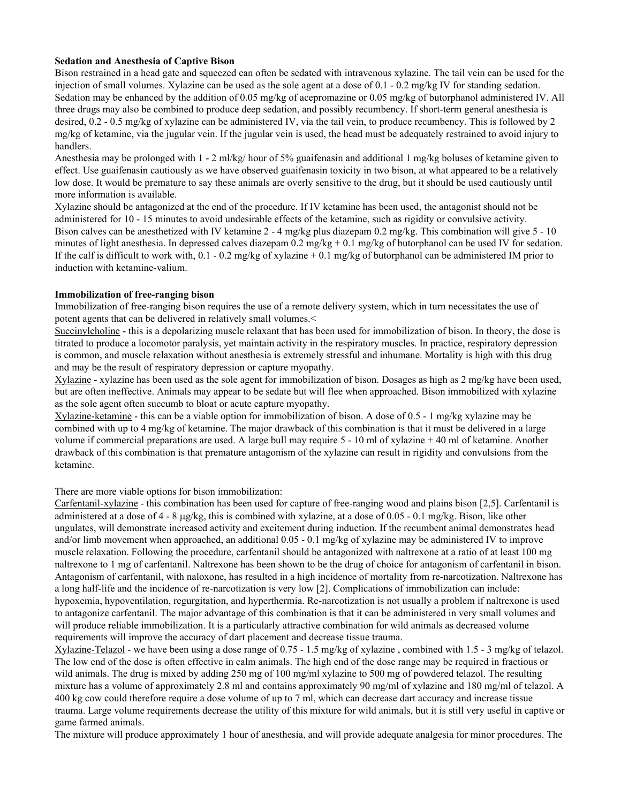#### **Sedation and Anesthesia of Captive Bison**

Bison restrained in a head gate and squeezed can often be sedated with intravenous xylazine. The tail vein can be used for the injection of small volumes. Xylazine can be used as the sole agent at a dose of  $0.1 - 0.2$  mg/kg IV for standing sedation. Sedation may be enhanced by the addition of 0.05 mg/kg of acepromazine or 0.05 mg/kg of butorphanol administered IV. All three drugs may also be combined to produce deep sedation, and possibly recumbency. If short-term general anesthesia is desired, 0.2 - 0.5 mg/kg of xylazine can be administered IV, via the tail vein, to produce recumbency. This is followed by 2 mg/kg of ketamine, via the jugular vein. If the jugular vein is used, the head must be adequately restrained to avoid injury to handlers.

Anesthesia may be prolonged with  $1 - 2$  ml/kg/ hour of 5% guaifenasin and additional 1 mg/kg boluses of ketamine given to effect. Use guaifenasin cautiously as we have observed guaifenasin toxicity in two bison, at what appeared to be a relatively low dose. It would be premature to say these animals are overly sensitive to the drug, but it should be used cautiously until more information is available.

Xylazine should be antagonized at the end of the procedure. If IV ketamine has been used, the antagonist should not be administered for 10 - 15 minutes to avoid undesirable effects of the ketamine, such as rigidity or convulsive activity. Bison calves can be anesthetized with IV ketamine 2 - 4 mg/kg plus diazepam 0.2 mg/kg. This combination will give 5 - 10 minutes of light anesthesia. In depressed calves diazepam  $0.2 \text{ mg/kg} + 0.1 \text{ mg/kg}$  of butorphanol can be used IV for sedation. If the calf is difficult to work with, 0.1 - 0.2 mg/kg of xylazine + 0.1 mg/kg of butorphanol can be administered IM prior to induction with ketamine-valium.

#### **Immobilization of free-ranging bison**

Immobilization of free-ranging bison requires the use of a remote delivery system, which in turn necessitates the use of potent agents that can be delivered in relatively small volumes.<

Succinylcholine - this is a depolarizing muscle relaxant that has been used for immobilization of bison. In theory, the dose is titrated to produce a locomotor paralysis, yet maintain activity in the respiratory muscles. In practice, respiratory depression is common, and muscle relaxation without anesthesia is extremely stressful and inhumane. Mortality is high with this drug and may be the result of respiratory depression or capture myopathy.

Xylazine - xylazine has been used as the sole agent for immobilization of bison. Dosages as high as 2 mg/kg have been used, but are often ineffective. Animals may appear to be sedate but will flee when approached. Bison immobilized with xylazine as the sole agent often succumb to bloat or acute capture myopathy.

Xylazine-ketamine - this can be a viable option for immobilization of bison. A dose of 0.5 - 1 mg/kg xylazine may be combined with up to 4 mg/kg of ketamine. The major drawback of this combination is that it must be delivered in a large volume if commercial preparations are used. A large bull may require 5 - 10 ml of xylazine + 40 ml of ketamine. Another drawback of this combination is that premature antagonism of the xylazine can result in rigidity and convulsions from the ketamine.

There are more viable options for bison immobilization:

Carfentanil-xylazine - this combination has been used for capture of free-ranging wood and plains bison [2,5]. Carfentanil is administered at a dose of  $4 - 8 \mu g/kg$ , this is combined with xylazine, at a dose of 0.05 - 0.1 mg/kg. Bison, like other ungulates, will demonstrate increased activity and excitement during induction. If the recumbent animal demonstrates head and/or limb movement when approached, an additional 0.05 - 0.1 mg/kg of xylazine may be administered IV to improve muscle relaxation. Following the procedure, carfentanil should be antagonized with naltrexone at a ratio of at least 100 mg naltrexone to 1 mg of carfentanil. Naltrexone has been shown to be the drug of choice for antagonism of carfentanil in bison. Antagonism of carfentanil, with naloxone, has resulted in a high incidence of mortality from re-narcotization. Naltrexone has a long half-life and the incidence of re-narcotization is very low [2]. Complications of immobilization can include: hypoxemia, hypoventilation, regurgitation, and hyperthermia. Re-narcotization is not usually a problem if naltrexone is used to antagonize carfentanil. The major advantage of this combination is that it can be administered in very small volumes and will produce reliable immobilization. It is a particularly attractive combination for wild animals as decreased volume requirements will improve the accuracy of dart placement and decrease tissue trauma.

Xylazine-Telazol - we have been using a dose range of 0.75 - 1.5 mg/kg of xylazine , combined with 1.5 - 3 mg/kg of telazol. The low end of the dose is often effective in calm animals. The high end of the dose range may be required in fractious or wild animals. The drug is mixed by adding 250 mg of 100 mg/ml xylazine to 500 mg of powdered telazol. The resulting mixture has a volume of approximately 2.8 ml and contains approximately 90 mg/ml of xylazine and 180 mg/ml of telazol. A 400 kg cow could therefore require a dose volume of up to 7 ml, which can decrease dart accuracy and increase tissue trauma. Large volume requirements decrease the utility of this mixture for wild animals, but it is still very useful in captive or game farmed animals.

The mixture will produce approximately 1 hour of anesthesia, and will provide adequate analgesia for minor procedures. The